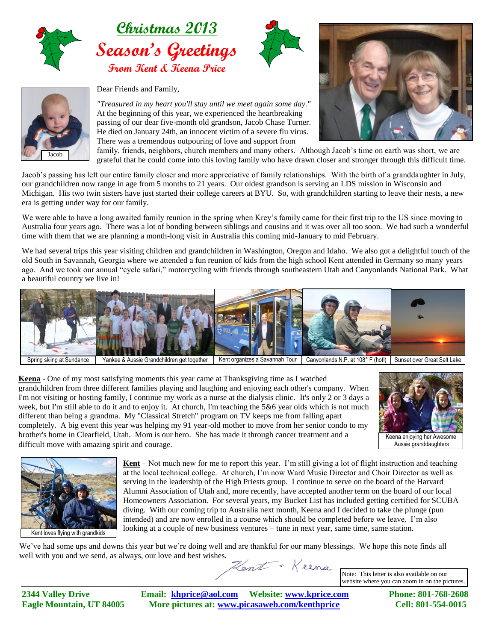





Dear Friends and Family,

*"Treasured in my heart you'll stay until we meet again some day."* At the beginning of this year, we experienced the heartbreaking passing of our dear five-month old grandson, Jacob Chase Turner. He died on January 24th, an innocent victim of a severe flu virus. There was a tremendous outpouring of love and support from



family, friends, neighbors, church members and many others. Although Jacob's time on earth was short, we are grateful that he could come into this loving family who have drawn closer and stronger through this difficult time.

Jacob's passing has left our entire family closer and more appreciative of family relationships. With the birth of a granddaughter in July, our grandchildren now range in age from 5 months to 21 years. Our oldest grandson is serving an LDS mission in Wisconsin and Michigan. His two twin sisters have just started their college careers at BYU. So, with grandchildren starting to leave their nests, a new era is getting under way for our family.

We were able to have a long awaited family reunion in the spring when Krey's family came for their first trip to the US since moving to Australia four years ago. There was a lot of bonding between siblings and cousins and it was over all too soon. We had such a wonderful time with them that we are planning a month-long visit in Australia this coming mid-January to mid February.

We had several trips this year visiting children and grandchildren in Washington, Oregon and Idaho. We also got a delightful touch of the old South in Savannah, Georgia where we attended a fun reunion of kids from the high school Kent attended in Germany so many years ago. And we took our annual "cycle safari," motorcycling with friends through southeastern Utah and Canyonlands National Park. What a beautiful country we live in!



Spring skiing at Sundance Yankee & Aussie Grandchildren get together Kent organizes a Savannah Tour Canyonlands N.P. at 108° F (hot!) Sunset over Great Salt Lake

**Keena** - One of my most satisfying moments this year came at Thanksgiving time as I watched grandchildren from three different families playing and laughing and enjoying each other's company. When I'm not visiting or hosting family, I continue my work as a nurse at the dialysis clinic. It's only 2 or 3 days a week, but I'm still able to do it and to enjoy it. At church, I'm teaching the 5&6 year olds which is not much different than being a grandma. My "Classical Stretch" program on TV keeps me from falling apart completely. A big event this year was helping my 91 year-old mother to move from her senior condo to my brother's home in Clearfield, Utah. Mom is our hero. She has made it through cancer treatment and a difficult move with amazing spirit and courage.





**Kent** – Not much new for me to report this year. I'm still giving a lot of flight instruction and teaching at the local technical college. At church, I'm now Ward Music Director and Choir Director as well as serving in the leadership of the High Priests group. I continue to serve on the board of the Harvard Alumni Association of Utah and, more recently, have accepted another term on the board of our local Homeowners Association. For several years, my Bucket List has included getting certified for SCUBA diving. With our coming trip to Australia next month, Keena and I decided to take the plunge (pun intended) and are now enrolled in a course which should be completed before we leave. I'm also looking at a couple of new business ventures – tune in next year, same time, same station.

We've had some ups and downs this year but we're doing well and are thankful for our many blessings. We hope this note finds all well with you and we send, as always, our love and best wishes.

Hent + Keena

Note: This letter is also available on our website where you can zoom in on the pictures.

**2344 Valley Drive Email: [khprice@aol.com](mailto:khprice@aol.com) Website: [www.kprice.com](http://www.kprice.com/) Phone: 801-768-2608 Eagle Mountain, UT 84005 More pictures at: www.picasaweb.com/kenthprice Cell: 801-554-0015**